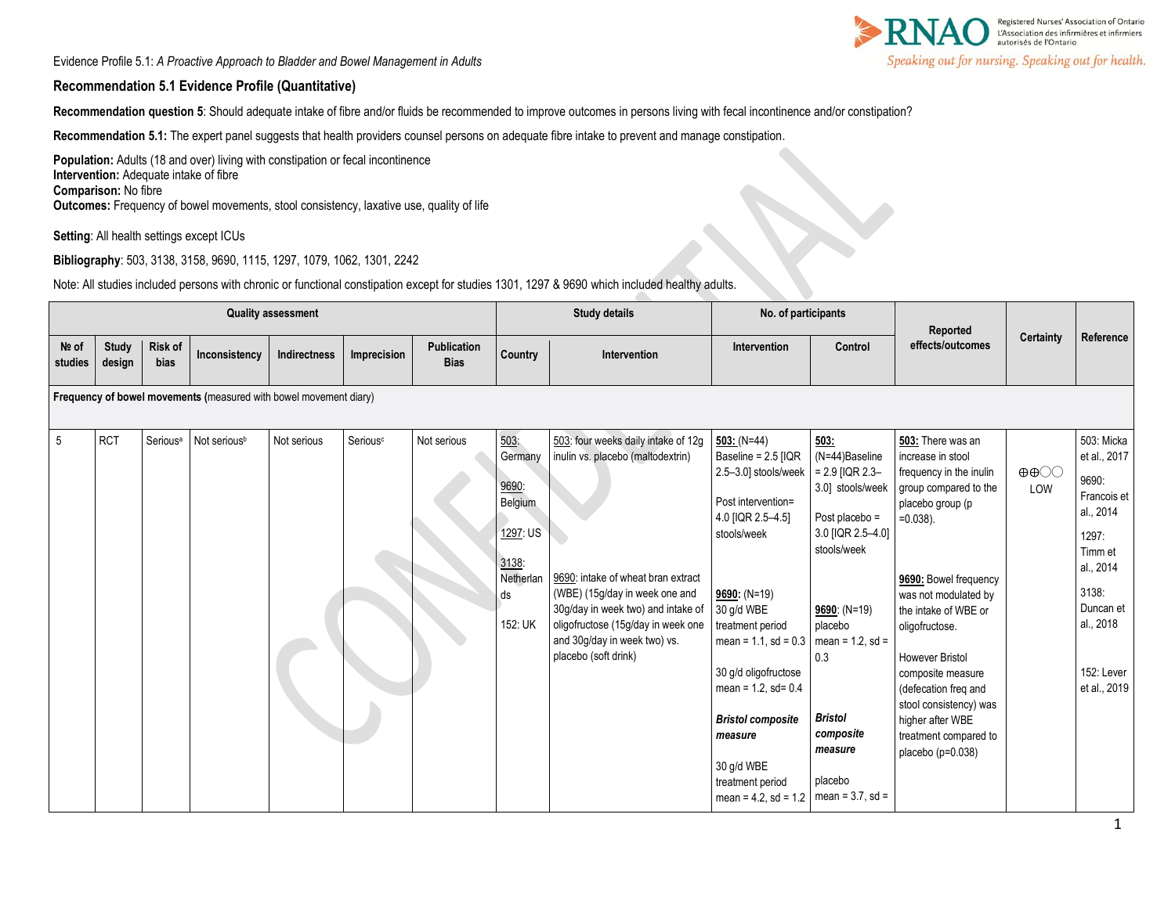Evidence Profile 5.1: *A Proactive Approach to Bladder and Bowel Management in Adults* 



#### **Recommendation 5.1 Evidence Profile (Quantitative)**

**Recommendation question 5**: Should adequate intake of fibre and/or fluids be recommended to improve outcomes in persons living with fecal incontinence and/or constipation?

**Recommendation 5.1:** The expert panel suggests that health providers counsel persons on adequate fibre intake to prevent and manage constipation.

Population: Adults (18 and over) living with constipation or fecal incontinence **Intervention:** Adequate intake of fibre **Comparison:** No fibre **Outcomes:** Frequency of bowel movements, stool consistency, laxative use, quality of life

**Setting**: All health settings except ICUs

**Bibliography**: 503, 3138, 3158, 9690, 1115, 1297, 1079, 1062, 1301, 2242

Note: All studies included persons with chronic or functional constipation except for studies 1301, 1297 & 9690 which included healthy adults.

|                  | <b>Quality assessment</b> |                      |                                                                   |              |                      |                                   | <b>Study details</b>                                                                   |                                                                                                                                                                                                                                                                                      | No. of participants                                                                                                                                                                                                                                                                                                                                                 |                                                                                                                                                                                                                                                                | Reported                                                                                                                                                                                                                                                                                                                                                                                    |                                          |                                                                                                                                                                   |
|------------------|---------------------------|----------------------|-------------------------------------------------------------------|--------------|----------------------|-----------------------------------|----------------------------------------------------------------------------------------|--------------------------------------------------------------------------------------------------------------------------------------------------------------------------------------------------------------------------------------------------------------------------------------|---------------------------------------------------------------------------------------------------------------------------------------------------------------------------------------------------------------------------------------------------------------------------------------------------------------------------------------------------------------------|----------------------------------------------------------------------------------------------------------------------------------------------------------------------------------------------------------------------------------------------------------------|---------------------------------------------------------------------------------------------------------------------------------------------------------------------------------------------------------------------------------------------------------------------------------------------------------------------------------------------------------------------------------------------|------------------------------------------|-------------------------------------------------------------------------------------------------------------------------------------------------------------------|
| Nº of<br>studies | <b>Study</b><br>design    | Risk of<br>bias      | Inconsistency                                                     | Indirectness | Imprecision          | <b>Publication</b><br><b>Bias</b> | Country                                                                                | Intervention                                                                                                                                                                                                                                                                         | Intervention                                                                                                                                                                                                                                                                                                                                                        | Control                                                                                                                                                                                                                                                        | effects/outcomes                                                                                                                                                                                                                                                                                                                                                                            | Certainty                                | Reference                                                                                                                                                         |
|                  |                           |                      | Frequency of bowel movements (measured with bowel movement diary) |              |                      |                                   |                                                                                        |                                                                                                                                                                                                                                                                                      |                                                                                                                                                                                                                                                                                                                                                                     |                                                                                                                                                                                                                                                                |                                                                                                                                                                                                                                                                                                                                                                                             |                                          |                                                                                                                                                                   |
| $5\overline{)}$  | <b>RCT</b>                | Serious <sup>a</sup> | Not serious <sup>b</sup>                                          | Not serious  | Serious <sup>c</sup> | Not serious                       | 503:<br>Germany<br>9690:<br>Belgium<br>1297: US<br>3138:<br>Netherlan<br>ds<br>152: UK | 503: four weeks daily intake of 12g<br>inulin vs. placebo (maltodextrin)<br>9690: intake of wheat bran extract<br>(WBE) (15g/day in week one and<br>30g/day in week two) and intake of<br>oligofructose (15g/day in week one<br>and 30g/day in week two) vs.<br>placebo (soft drink) | $503: (N=44)$<br>Baseline = $2.5$ [IQR<br>2.5-3.0] stools/week<br>Post intervention=<br>4.0 [IQR 2.5-4.5]<br>stools/week<br>$9690: (N=19)$<br>30 g/d WBE<br>treatment period<br>mean = $1.1$ , sd = $0.3$<br>30 g/d oligofructose<br>mean = $1.2$ , sd= $0.4$<br><b>Bristol composite</b><br>measure<br>30 g/d WBE<br>treatment period<br>mean = $4.2$ , sd = $1.2$ | 503:<br>(N=44)Baseline<br>$= 2.9$ [IQR 2.3-<br>3.0] stools/week<br>Post placebo $=$<br>3.0 [IQR 2.5-4.0]<br>stools/week<br>$9690: (N=19)$<br>placebo<br>mean = $1.2$ , sd =<br>0.3<br><b>Bristol</b><br>composite<br>measure<br>placebo<br>mean = $3.7$ , sd = | 503: There was an<br>increase in stool<br>frequency in the inulin<br>group compared to the<br>placebo group (p<br>$=0.038$ ).<br>9690: Bowel frequency<br>was not modulated by<br>the intake of WBE or<br>oligofructose.<br><b>However Bristol</b><br>composite measure<br>(defecation freq and<br>stool consistency) was<br>higher after WBE<br>treatment compared to<br>placebo (p=0.038) | $\oplus \oplus \bigcirc \bigcirc$<br>LOW | 503: Micka<br>et al., 2017<br>9690:<br>Francois et<br>al., 2014<br>1297:<br>Timm et<br>al., 2014<br>3138:<br>Duncan et<br>al., 2018<br>152: Lever<br>et al., 2019 |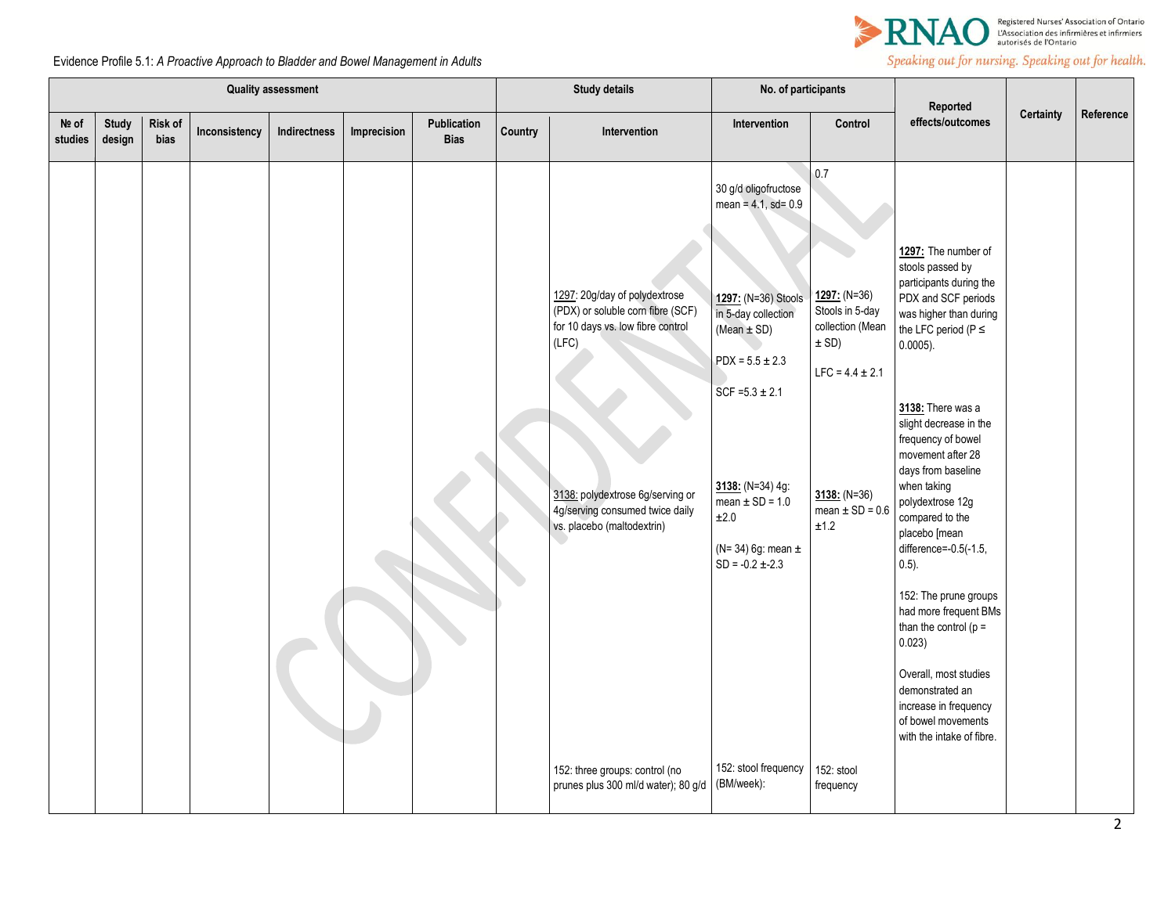

| <b>Quality assessment</b> |                        |                 |               |              |             |                            | <b>Study details</b> |                                                                                                                                                                                                                       | No. of participants                                                                                                                                                                                                                                                 |                                                                                                                                                 | Reported                                                                                                                                                                                                                                                                                                                                                                                                                                                                                                                                                                                                   |           |           |
|---------------------------|------------------------|-----------------|---------------|--------------|-------------|----------------------------|----------------------|-----------------------------------------------------------------------------------------------------------------------------------------------------------------------------------------------------------------------|---------------------------------------------------------------------------------------------------------------------------------------------------------------------------------------------------------------------------------------------------------------------|-------------------------------------------------------------------------------------------------------------------------------------------------|------------------------------------------------------------------------------------------------------------------------------------------------------------------------------------------------------------------------------------------------------------------------------------------------------------------------------------------------------------------------------------------------------------------------------------------------------------------------------------------------------------------------------------------------------------------------------------------------------------|-----------|-----------|
| Nº of<br>studies          | <b>Study</b><br>design | Risk of<br>bias | Inconsistency | Indirectness | Imprecision | Publication<br><b>Bias</b> | Country              | Intervention                                                                                                                                                                                                          | Intervention                                                                                                                                                                                                                                                        | Control                                                                                                                                         | effects/outcomes                                                                                                                                                                                                                                                                                                                                                                                                                                                                                                                                                                                           | Certainty | Reference |
|                           |                        |                 |               |              |             |                            |                      | 1297: 20g/day of polydextrose<br>(PDX) or soluble corn fibre (SCF)<br>for 10 days vs. low fibre control<br>(LFC)<br>3138: polydextrose 6g/serving or<br>4g/serving consumed twice daily<br>vs. placebo (maltodextrin) | 30 g/d oligofructose<br>$mean = 4.1, sd = 0.9$<br>1297: (N=36) Stools<br>in 5-day collection<br>(Mean $\pm$ SD)<br>$PDX = 5.5 \pm 2.3$<br>$SCF = 5.3 \pm 2.1$<br>3138: (N=34) 4g:<br>mean $\pm$ SD = 1.0<br>±2.0<br>$(N=34)$ 6g: mean $\pm$<br>$SD = -0.2 \pm -2.3$ | 0.7<br>1297: (N=36)<br>Stools in 5-day<br>collection (Mean<br>$\pm$ SD)<br>$LFC = 4.4 \pm 2.1$<br>$3138: (N=36)$<br>mean $\pm$ SD = 0.6<br>±1.2 | 1297: The number of<br>stools passed by<br>participants during the<br>PDX and SCF periods<br>was higher than during<br>the LFC period ( $P \le$<br>$0.0005$ ).<br>3138: There was a<br>slight decrease in the<br>frequency of bowel<br>movement after 28<br>days from baseline<br>when taking<br>polydextrose 12g<br>compared to the<br>placebo [mean<br>difference=-0.5(-1.5,<br>$0.5$ ).<br>152: The prune groups<br>had more frequent BMs<br>than the control ( $p =$<br>0.023)<br>Overall, most studies<br>demonstrated an<br>increase in frequency<br>of bowel movements<br>with the intake of fibre. |           |           |
|                           |                        |                 |               |              |             |                            |                      | 152: three groups: control (no<br>prunes plus 300 ml/d water); 80 g/d (BM/week):                                                                                                                                      | 152: stool frequency                                                                                                                                                                                                                                                | 152: stool<br>frequency                                                                                                                         |                                                                                                                                                                                                                                                                                                                                                                                                                                                                                                                                                                                                            |           |           |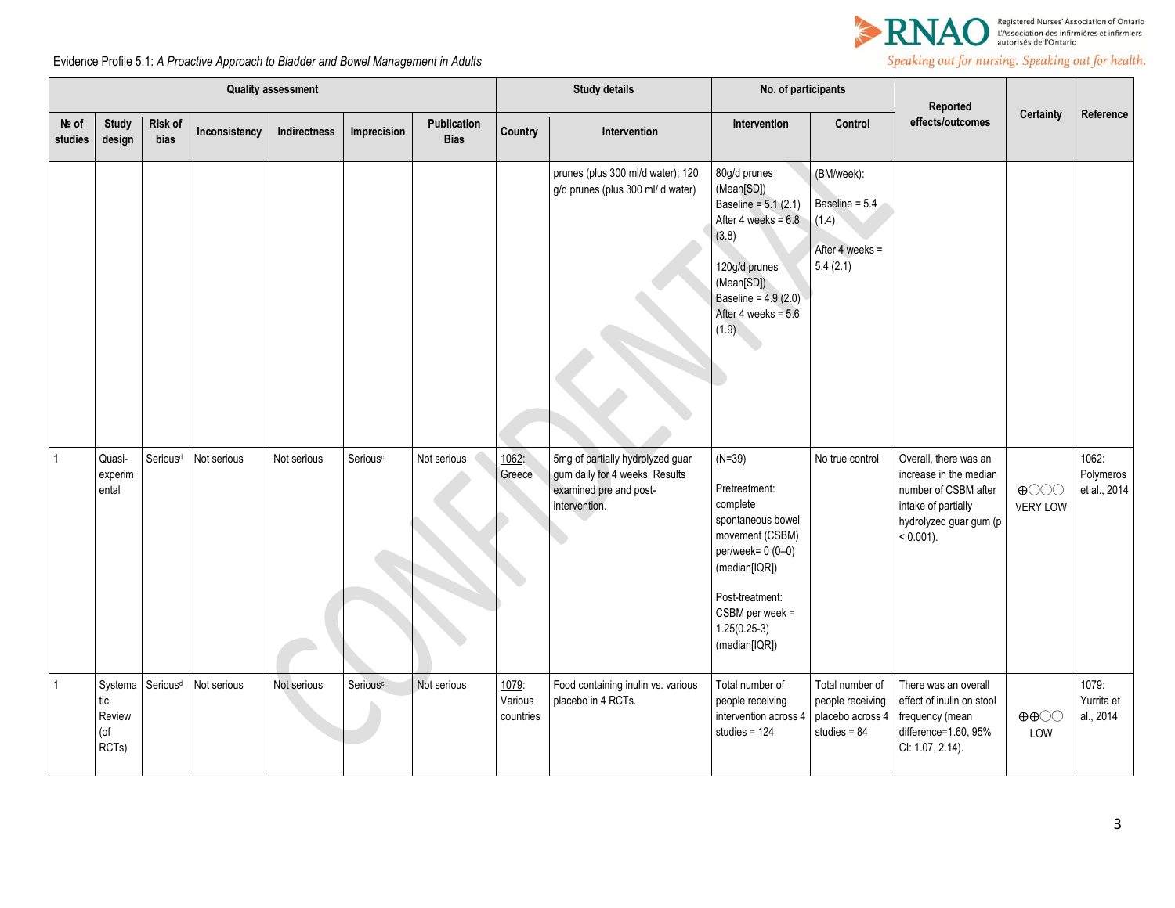

|                  | <b>Quality assessment</b>                |                      |               |              | <b>Study details</b> |                            | No. of participants           |                                                                                                               | Reported                                                                                                                                                                                       |                                                                           |                                                                                                                                          |                                          |                                    |
|------------------|------------------------------------------|----------------------|---------------|--------------|----------------------|----------------------------|-------------------------------|---------------------------------------------------------------------------------------------------------------|------------------------------------------------------------------------------------------------------------------------------------------------------------------------------------------------|---------------------------------------------------------------------------|------------------------------------------------------------------------------------------------------------------------------------------|------------------------------------------|------------------------------------|
| Nº of<br>studies | <b>Study</b><br>design                   | Risk of<br>bias      | Inconsistency | Indirectness | Imprecision          | Publication<br><b>Bias</b> | Country                       | Intervention                                                                                                  | Intervention                                                                                                                                                                                   | Control                                                                   | effects/outcomes                                                                                                                         | Certainty                                | Reference                          |
|                  |                                          |                      |               |              |                      |                            |                               | prunes (plus 300 ml/d water); 120<br>g/d prunes (plus 300 ml/d water)                                         | 80g/d prunes<br>(Mean[SD])<br>Baseline = $5.1(2.1)$<br>After 4 weeks = $6.8$<br>(3.8)<br>120g/d prunes<br>(Mean[SD])<br>Baseline = 4.9 (2.0)<br>After 4 weeks = $5.6$<br>(1.9)                 | (BM/week):<br>Baseline = 5.4<br>(1.4)<br>After 4 weeks =<br>5.4(2.1)      |                                                                                                                                          |                                          |                                    |
| $\overline{1}$   | Quasi-<br>experim<br>ental               | Serious <sup>d</sup> | Not serious   | Not serious  | Serious <sup>c</sup> | Not serious                | 1062:<br>Greece               | 5mg of partially hydrolyzed guar<br>gum daily for 4 weeks. Results<br>examined pre and post-<br>intervention. | $(N=39)$<br>Pretreatment:<br>complete<br>spontaneous bowel<br>movement (CSBM)<br>per/week= 0 (0-0)<br>(median[IQR])<br>Post-treatment:<br>$CSBM$ per week =<br>$1.25(0.25-3)$<br>(median[IQR]) | No true control                                                           | Overall, there was an<br>increase in the median<br>number of CSBM after<br>intake of partially<br>hydrolyzed guar gum (p<br>$< 0.001$ ). | $\bigoplus$<br><b>VERY LOW</b>           | 1062:<br>Polymeros<br>et al., 2014 |
| $\overline{1}$   | Systema<br>tic<br>Review<br>(of<br>RCTs) | Serious <sup>d</sup> | Not serious   | Not serious  | Serious <sup>c</sup> | Not serious                | 1079:<br>Various<br>countries | Food containing inulin vs. various<br>placebo in 4 RCTs.                                                      | Total number of<br>people receiving<br>intervention across 4<br>studies = $124$                                                                                                                | Total number of<br>people receiving<br>placebo across 4<br>studies = $84$ | There was an overall<br>effect of inulin on stool<br>frequency (mean<br>difference=1.60, 95%<br>CI: 1.07, 2.14).                         | $\oplus \oplus \bigcirc \bigcirc$<br>LOW | 1079:<br>Yurrita et<br>al., 2014   |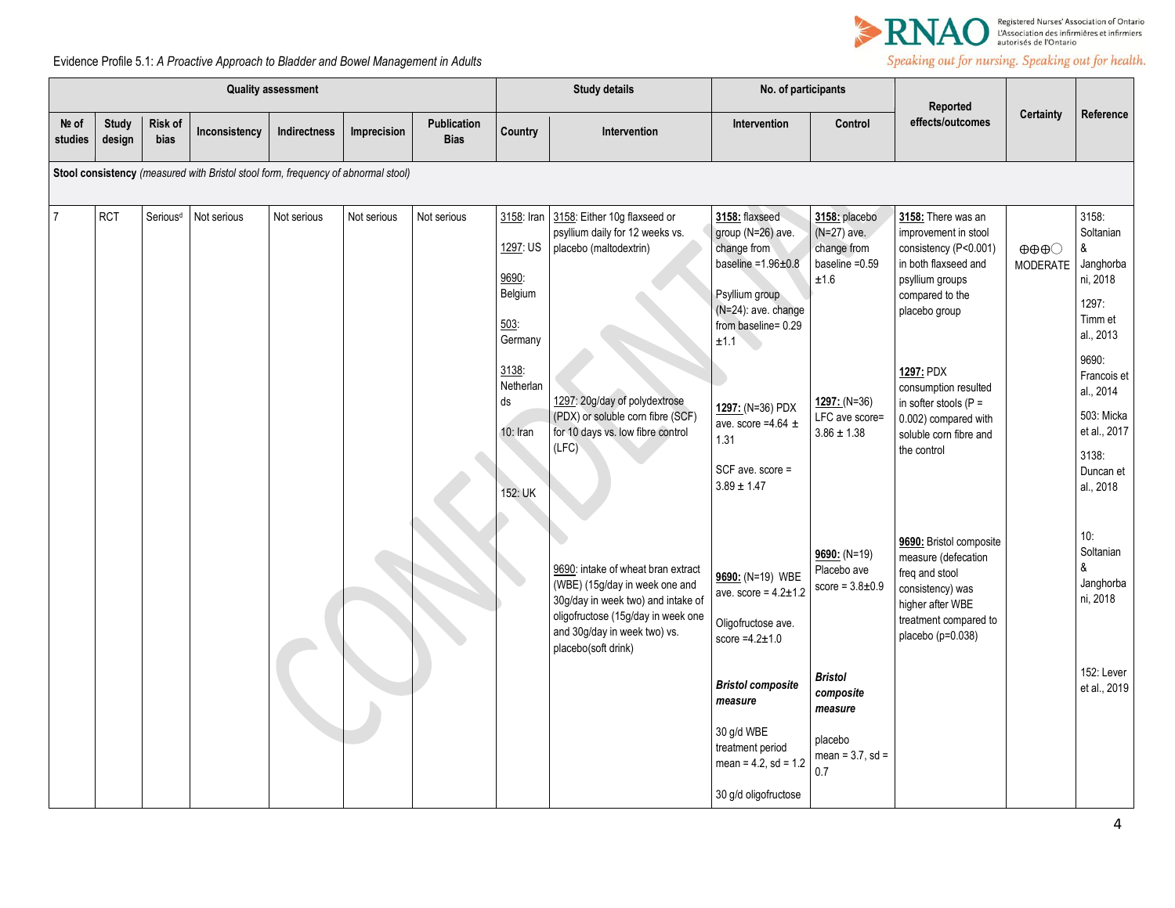

|                  | <b>Quality assessment</b> |                        |                                                                                   |              |             |                                   | <b>Study details</b>                                         |                                                                                                                                                                                                         | No. of participants                                                                                                                                     |                                                                         | Reported                                                                                                                                               |                                                 |                                                                                                    |
|------------------|---------------------------|------------------------|-----------------------------------------------------------------------------------|--------------|-------------|-----------------------------------|--------------------------------------------------------------|---------------------------------------------------------------------------------------------------------------------------------------------------------------------------------------------------------|---------------------------------------------------------------------------------------------------------------------------------------------------------|-------------------------------------------------------------------------|--------------------------------------------------------------------------------------------------------------------------------------------------------|-------------------------------------------------|----------------------------------------------------------------------------------------------------|
| Nº of<br>studies | <b>Study</b><br>design    | Risk of<br><b>bias</b> | Inconsistency                                                                     | Indirectness | Imprecision | <b>Publication</b><br><b>Bias</b> | Country                                                      | Intervention                                                                                                                                                                                            | Intervention                                                                                                                                            | Control                                                                 | effects/outcomes                                                                                                                                       | Certainty                                       | Reference                                                                                          |
|                  |                           |                        | Stool consistency (measured with Bristol stool form, frequency of abnormal stool) |              |             |                                   |                                                              |                                                                                                                                                                                                         |                                                                                                                                                         |                                                                         |                                                                                                                                                        |                                                 |                                                                                                    |
| $\overline{7}$   | <b>RCT</b>                | Serious <sup>d</sup>   | Not serious                                                                       | Not serious  | Not serious | Not serious                       | 3158: Iran<br>1297: US<br>9690:<br>Belgium<br>503<br>Germany | 3158: Either 10g flaxseed or<br>psyllium daily for 12 weeks vs.<br>placebo (maltodextrin)                                                                                                               | 3158: flaxseed<br>group (N=26) ave.<br>change from<br>baseline = $1.96 \pm 0.8$<br>Psyllium group<br>(N=24): ave. change<br>from baseline= 0.29<br>±1.1 | 3158: placebo<br>(N=27) ave.<br>change from<br>baseline $=0.59$<br>±1.6 | 3158: There was an<br>improvement in stool<br>consistency (P<0.001)<br>in both flaxseed and<br>psyllium groups<br>compared to the<br>placebo group     | $\oplus \oplus \oplus \odot$<br><b>MODERATE</b> | 3158:<br>Soltanian<br>&<br>Janghorba<br>ni, 2018<br>1297:<br>Timm et<br>al., 2013                  |
|                  |                           |                        |                                                                                   |              |             |                                   | 3138:<br>Netherlan<br>ds<br>$10:$ Iran<br>152: UK            | 1297: 20g/day of polydextrose<br>(PDX) or soluble corn fibre (SCF)<br>for 10 days vs. low fibre control<br>(LFC)                                                                                        | 1297: (N=36) PDX<br>ave. score =4.64 $\pm$<br>1.31<br>SCF ave. score =<br>$3.89 \pm 1.47$                                                               | $1297: (N=36)$<br>LFC ave score=<br>$3.86 \pm 1.38$                     | 1297: PDX<br>consumption resulted<br>in softer stools ( $P =$<br>0.002) compared with<br>soluble corn fibre and<br>the control                         |                                                 | 9690:<br>Francois et<br>al., 2014<br>503: Micka<br>et al., 2017<br>3138:<br>Duncan et<br>al., 2018 |
|                  |                           |                        |                                                                                   |              |             |                                   |                                                              | 9690: intake of wheat bran extract<br>(WBE) (15g/day in week one and<br>30g/day in week two) and intake of<br>oligofructose (15g/day in week one<br>and 30g/day in week two) vs.<br>placebo(soft drink) | 9690: (N=19) WBE<br>ave. score = $4.2 \pm 1.2$<br>Oligofructose ave.<br>score $=4.2 \pm 1.0$                                                            | $9690: (N=19)$<br>Placebo ave<br>score = $3.8 \pm 0.9$                  | 9690: Bristol composite<br>measure (defecation<br>freq and stool<br>consistency) was<br>higher after WBE<br>treatment compared to<br>placebo (p=0.038) |                                                 | 10:<br>Soltanian<br>&<br>Janghorba<br>ni, 2018                                                     |
|                  |                           |                        |                                                                                   |              |             |                                   |                                                              |                                                                                                                                                                                                         | <b>Bristol composite</b><br>measure<br>30 g/d WBE<br>treatment period                                                                                   | <b>Bristol</b><br>composite<br>measure<br>placebo                       |                                                                                                                                                        |                                                 | 152: Lever<br>et al., 2019                                                                         |
|                  |                           |                        |                                                                                   |              |             |                                   |                                                              |                                                                                                                                                                                                         | $mean = 4.2, sd = 1.2$<br>30 g/d oligofructose                                                                                                          | mean = $3.7$ , sd =<br>0.7                                              |                                                                                                                                                        |                                                 |                                                                                                    |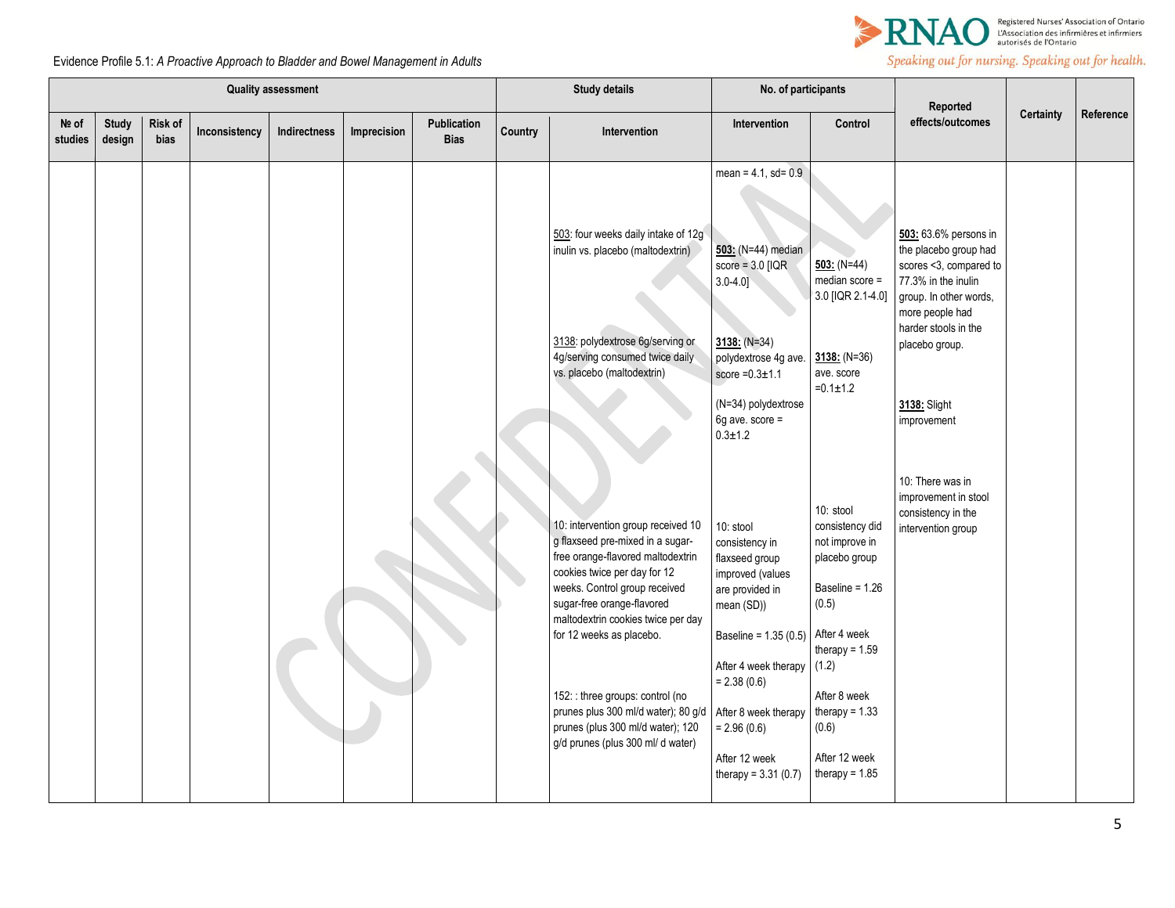

| <b>Quality assessment</b> |                        |                        |               |                     | <b>Study details</b> |                            | No. of participants |                                                                                                                                                                                                                                                                                                                                                                                                                                   |                                                                                                                                                                                                                                                               |                                                                                                                                                                                                                   |                                                                                                                                                                                                                       |                  |           |
|---------------------------|------------------------|------------------------|---------------|---------------------|----------------------|----------------------------|---------------------|-----------------------------------------------------------------------------------------------------------------------------------------------------------------------------------------------------------------------------------------------------------------------------------------------------------------------------------------------------------------------------------------------------------------------------------|---------------------------------------------------------------------------------------------------------------------------------------------------------------------------------------------------------------------------------------------------------------|-------------------------------------------------------------------------------------------------------------------------------------------------------------------------------------------------------------------|-----------------------------------------------------------------------------------------------------------------------------------------------------------------------------------------------------------------------|------------------|-----------|
| Nº of<br>studies          | <b>Study</b><br>design | <b>Risk of</b><br>bias | Inconsistency | <b>Indirectness</b> | Imprecision          | Publication<br><b>Bias</b> | Country             | <b>Intervention</b>                                                                                                                                                                                                                                                                                                                                                                                                               | Intervention                                                                                                                                                                                                                                                  | Control                                                                                                                                                                                                           | Reported<br>effects/outcomes                                                                                                                                                                                          | <b>Certainty</b> | Reference |
|                           |                        |                        |               |                     |                      |                            |                     | 503: four weeks daily intake of 12g<br>inulin vs. placebo (maltodextrin)<br>3138: polydextrose 6g/serving or<br>4g/serving consumed twice daily<br>vs. placebo (maltodextrin)                                                                                                                                                                                                                                                     | mean = $4.1$ , sd= $0.9$<br>503: (N=44) median<br>score = $3.0$ [IQR<br>$3.0 - 4.0$<br>$3138: (N=34)$<br>polydextrose 4g ave.<br>score $=0.3\pm1.1$<br>(N=34) polydextrose<br>6g ave. score =<br>$0.3 \pm 1.2$                                                | $503: (N=44)$<br>median score =<br>3.0 [IQR 2.1-4.0]<br>$3138: (N=36)$<br>ave. score<br>$=0.1 \pm 1.2$                                                                                                            | 503: 63.6% persons in<br>the placebo group had<br>scores <3, compared to<br>77.3% in the inulin<br>group. In other words,<br>more people had<br>harder stools in the<br>placebo group.<br>3138: Slight<br>improvement |                  |           |
|                           |                        |                        |               |                     |                      |                            |                     | 10: intervention group received 10<br>g flaxseed pre-mixed in a sugar-<br>free orange-flavored maltodextrin<br>cookies twice per day for 12<br>weeks. Control group received<br>sugar-free orange-flavored<br>maltodextrin cookies twice per day<br>for 12 weeks as placebo.<br>152: : three groups: control (no<br>prunes plus 300 ml/d water); 80 g/d<br>prunes (plus 300 ml/d water); 120<br>g/d prunes (plus 300 ml/ d water) | 10: stool<br>consistency in<br>flaxseed group<br>improved (values<br>are provided in<br>mean (SD))<br>Baseline = 1.35 (0.5)<br>After 4 week therapy (1.2)<br>$= 2.38(0.6)$<br>After 8 week therapy<br>$= 2.96(0.6)$<br>After 12 week<br>therapy = $3.31(0.7)$ | 10: stool<br>consistency did<br>not improve in<br>placebo group<br>Baseline = 1.26<br>(0.5)<br>After 4 week<br>therapy = $1.59$<br>After 8 week<br>therapy = $1.33$<br>(0.6)<br>After 12 week<br>therapy = $1.85$ | 10: There was in<br>improvement in stool<br>consistency in the<br>intervention group                                                                                                                                  |                  |           |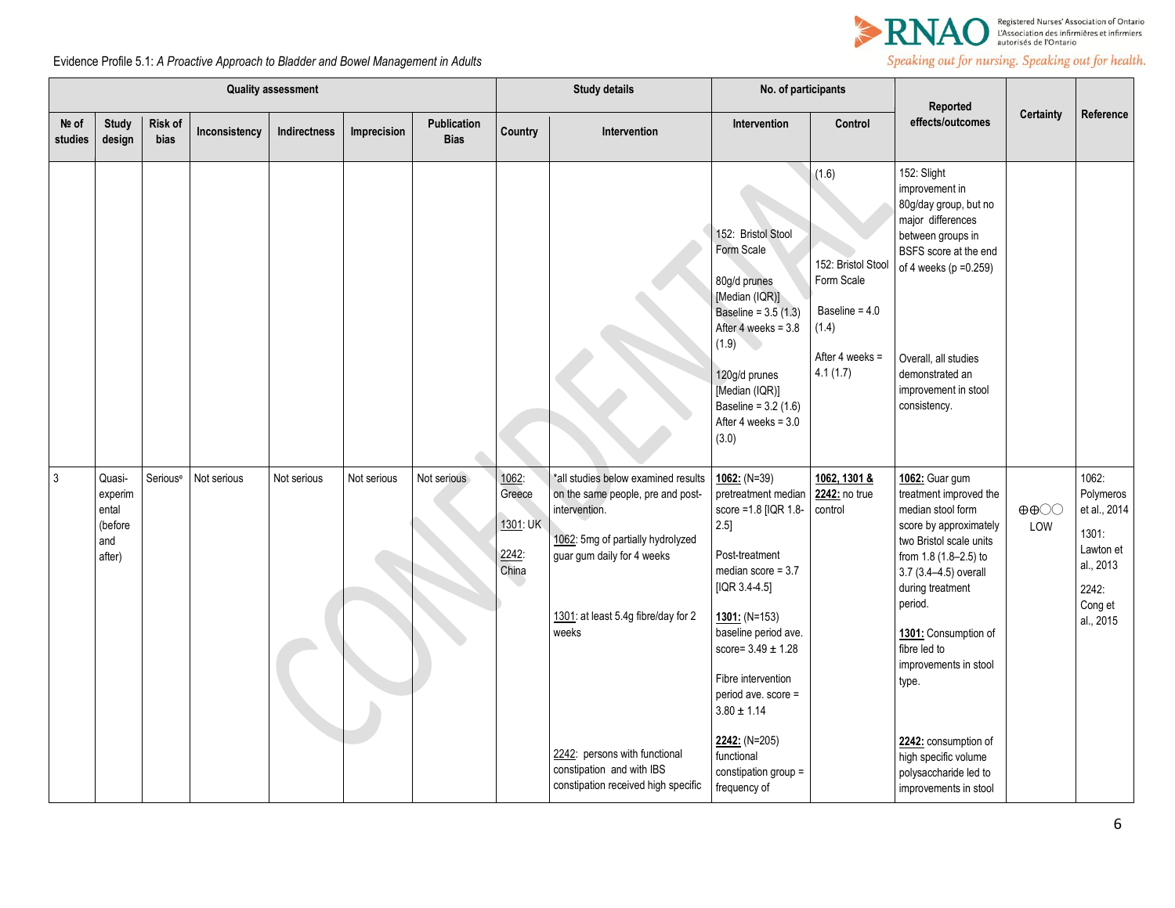

|                  | <b>Quality assessment</b>                              |                      |               |              |             |                            |                                               | <b>Study details</b>                                                                                                                                                                                                                                                                                              | No. of participants                                                                                                                                                                                                                                                                                                                                |                                                                                                         |                                                                                                                                                                                                                                                                                                                                                                                 |                                    |                                                                                                        |
|------------------|--------------------------------------------------------|----------------------|---------------|--------------|-------------|----------------------------|-----------------------------------------------|-------------------------------------------------------------------------------------------------------------------------------------------------------------------------------------------------------------------------------------------------------------------------------------------------------------------|----------------------------------------------------------------------------------------------------------------------------------------------------------------------------------------------------------------------------------------------------------------------------------------------------------------------------------------------------|---------------------------------------------------------------------------------------------------------|---------------------------------------------------------------------------------------------------------------------------------------------------------------------------------------------------------------------------------------------------------------------------------------------------------------------------------------------------------------------------------|------------------------------------|--------------------------------------------------------------------------------------------------------|
| Nº of<br>studies | <b>Study</b><br>design                                 | Risk of<br>bias      | Inconsistency | Indirectness | Imprecision | Publication<br><b>Bias</b> | <b>Country</b>                                | Intervention                                                                                                                                                                                                                                                                                                      | Intervention                                                                                                                                                                                                                                                                                                                                       | Control                                                                                                 | Reported<br>effects/outcomes                                                                                                                                                                                                                                                                                                                                                    | <b>Certainty</b>                   | Reference                                                                                              |
|                  |                                                        |                      |               |              |             |                            |                                               |                                                                                                                                                                                                                                                                                                                   | 152: Bristol Stool<br>Form Scale<br>80g/d prunes<br>[Median (IQR)]<br>Baseline = $3.5(1.3)$<br>After 4 weeks = 3.8<br>(1.9)<br>120g/d prunes<br>[Median (IQR)]<br>Baseline = $3.2(1.6)$<br>After 4 weeks = $3.0$<br>(3.0)                                                                                                                          | (1.6)<br>152: Bristol Stool<br>Form Scale<br>Baseline = $4.0$<br>(1.4)<br>After 4 weeks $=$<br>4.1(1.7) | 152: Slight<br>improvement in<br>80g/day group, but no<br>major differences<br>between groups in<br>BSFS score at the end<br>of 4 weeks (p = 0.259)<br>Overall, all studies<br>demonstrated an<br>improvement in stool<br>consistency.                                                                                                                                          |                                    |                                                                                                        |
| $\mathfrak{Z}$   | Quasi-<br>experim<br>ental<br>(before<br>and<br>after) | Serious <sup>e</sup> | Not serious   | Not serious  | Not serious | Not serious                | 1062:<br>Greece<br>1301: UK<br>2242:<br>China | *all studies below examined results<br>on the same people, pre and post-<br>intervention.<br>1062: 5mg of partially hydrolyzed<br>guar gum daily for 4 weeks<br>1301: at least 5.4g fibre/day for 2<br>weeks<br>2242: persons with functional<br>constipation and with IBS<br>constipation received high specific | $1062: (N=39)$<br>pretreatment median<br>score = 1.8 [IQR 1.8-<br>$2.5$ ]<br>Post-treatment<br>median score = $3.7$<br>$[IQR 3.4-4.5]$<br>$1301: (N=153)$<br>baseline period ave.<br>score= $3.49 \pm 1.28$<br>Fibre intervention<br>period ave. score =<br>$3.80\pm1.14$<br>$2242: (N=205)$<br>functional<br>constipation group =<br>frequency of | 1062, 1301 &<br>2242: no true<br>control                                                                | 1062: Guar gum<br>treatment improved the<br>median stool form<br>score by approximately<br>two Bristol scale units<br>from 1.8 (1.8-2.5) to<br>3.7 (3.4-4.5) overall<br>during treatment<br>period.<br>1301: Consumption of<br>fibre led to<br>improvements in stool<br>type.<br>2242: consumption of<br>high specific volume<br>polysaccharide led to<br>improvements in stool | $\oplus \oplus \odot \odot$<br>LOW | 1062:<br>Polymeros<br>et al., 2014<br>1301:<br>Lawton et<br>al., 2013<br>2242:<br>Cong et<br>al., 2015 |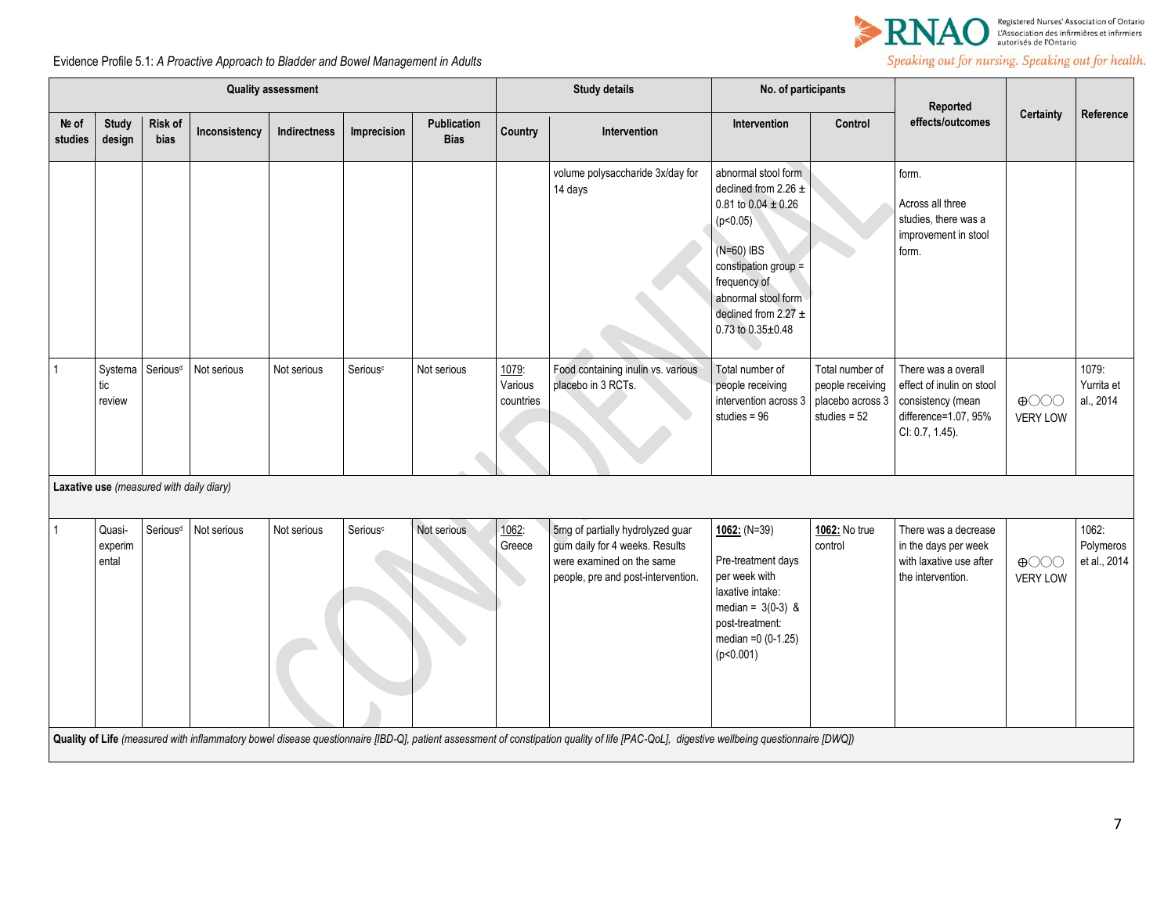

|                  | <b>Quality assessment</b>                |                                                                                                                                                                                         |               |              |                      |                            |                               | <b>Study details</b>                                                                                                                  | No. of participants                                                                                                                                                                                                    |                                                                           | Reported                                                                                                         |                                |                                    |
|------------------|------------------------------------------|-----------------------------------------------------------------------------------------------------------------------------------------------------------------------------------------|---------------|--------------|----------------------|----------------------------|-------------------------------|---------------------------------------------------------------------------------------------------------------------------------------|------------------------------------------------------------------------------------------------------------------------------------------------------------------------------------------------------------------------|---------------------------------------------------------------------------|------------------------------------------------------------------------------------------------------------------|--------------------------------|------------------------------------|
| Nº of<br>studies | <b>Study</b><br>design                   | Risk of<br>bias                                                                                                                                                                         | Inconsistency | Indirectness | Imprecision          | Publication<br><b>Bias</b> | Country                       | Intervention                                                                                                                          | Intervention                                                                                                                                                                                                           | Control                                                                   | effects/outcomes                                                                                                 | Certainty                      | Reference                          |
|                  |                                          |                                                                                                                                                                                         |               |              |                      |                            |                               | volume polysaccharide 3x/day for<br>14 days                                                                                           | abnormal stool form<br>declined from 2.26 $\pm$<br>0.81 to 0.04 $\pm$ 0.26<br>(p<0.05)<br>$(N=60)$ IBS<br>constipation group =<br>frequency of<br>abnormal stool form<br>declined from 2.27 $\pm$<br>0.73 to 0.35±0.48 |                                                                           | form.<br>Across all three<br>studies, there was a<br>improvement in stool<br>form.                               |                                |                                    |
| $\overline{1}$   | Systema<br>tic<br>review                 | Serious <sup>d</sup>                                                                                                                                                                    | Not serious   | Not serious  | Serious <sup>c</sup> | Not serious                | 1079:<br>Various<br>countries | Food containing inulin vs. various<br>placebo in 3 RCTs.                                                                              | Total number of<br>people receiving<br>intervention across 3<br>studies = $96$                                                                                                                                         | Total number of<br>people receiving<br>placebo across 3<br>studies = $52$ | There was a overall<br>effect of inulin on stool<br>consistency (mean<br>difference=1.07, 95%<br>CI: 0.7, 1.45). | $\bigoplus$<br><b>VERY LOW</b> | 1079:<br>Yurrita et<br>al., 2014   |
|                  | Laxative use (measured with daily diary) |                                                                                                                                                                                         |               |              |                      |                            |                               |                                                                                                                                       |                                                                                                                                                                                                                        |                                                                           |                                                                                                                  |                                |                                    |
| $\overline{1}$   | Quasi-<br>experim<br>ental               | Serious <sup>d</sup>                                                                                                                                                                    | Not serious   | Not serious  | Serious <sup>c</sup> | Not serious                | 1062:<br>Greece               | 5mg of partially hydrolyzed guar<br>gum daily for 4 weeks. Results<br>were examined on the same<br>people, pre and post-intervention. | $1062: (N=39)$<br>Pre-treatment days<br>per week with<br>laxative intake:<br>median = $3(0-3)$ &<br>post-treatment:<br>median = $0(0-1.25)$<br>(p<0.001)                                                               | 1062: No true<br>control                                                  | There was a decrease<br>in the days per week<br>with laxative use after<br>the intervention.                     | $\bigoplus$<br><b>VERY LOW</b> | 1062:<br>Polymeros<br>et al., 2014 |
|                  |                                          | Quality of Life (measured with inflammatory bowel disease questionnaire [IBD-Q], patient assessment of constipation quality of life [PAC-QoL], digestive wellbeing questionnaire [DWQ]) |               |              |                      |                            |                               |                                                                                                                                       |                                                                                                                                                                                                                        |                                                                           |                                                                                                                  |                                |                                    |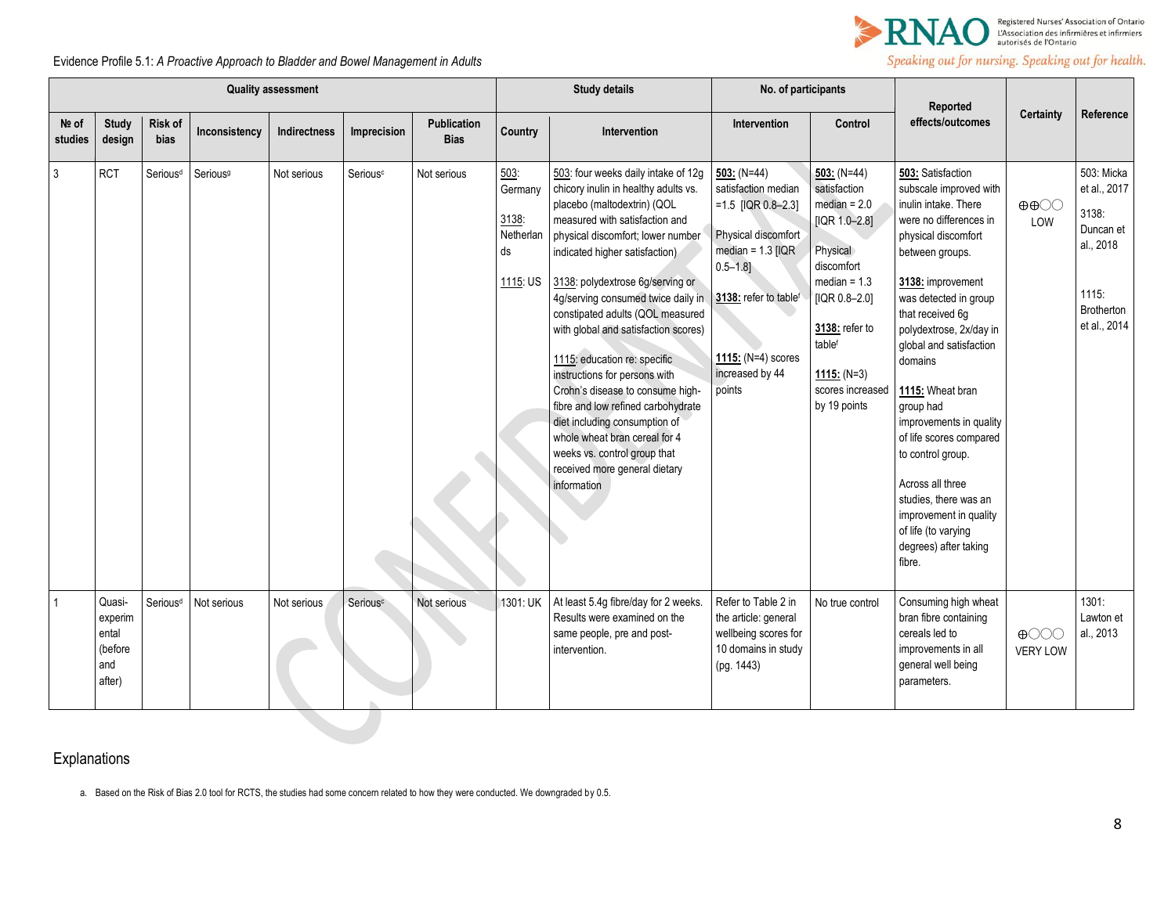

Evidence Profile 5.1: *A Proactive Approach to Bladder and Bowel Management in Adults* 

|                  | <b>Quality assessment</b>                              |                        |                      |                     |                      |                            | <b>Study details</b>                                    |                                                                                                                                                                                                                                                                                                                                                                                                                                                                                                                                                                                                                                                                        | No. of participants                                                                                                                                                                                       |                                                                                                                                                                                                                         |                                                                                                                                                                                                                                                                                                                                                                                                                                                                                                                         |                                                      |                                                                                                             |
|------------------|--------------------------------------------------------|------------------------|----------------------|---------------------|----------------------|----------------------------|---------------------------------------------------------|------------------------------------------------------------------------------------------------------------------------------------------------------------------------------------------------------------------------------------------------------------------------------------------------------------------------------------------------------------------------------------------------------------------------------------------------------------------------------------------------------------------------------------------------------------------------------------------------------------------------------------------------------------------------|-----------------------------------------------------------------------------------------------------------------------------------------------------------------------------------------------------------|-------------------------------------------------------------------------------------------------------------------------------------------------------------------------------------------------------------------------|-------------------------------------------------------------------------------------------------------------------------------------------------------------------------------------------------------------------------------------------------------------------------------------------------------------------------------------------------------------------------------------------------------------------------------------------------------------------------------------------------------------------------|------------------------------------------------------|-------------------------------------------------------------------------------------------------------------|
| Nº of<br>studies | <b>Study</b><br>design                                 | Risk of<br><b>bias</b> | Inconsistency        | <b>Indirectness</b> | Imprecision          | Publication<br><b>Bias</b> | Country                                                 | Intervention                                                                                                                                                                                                                                                                                                                                                                                                                                                                                                                                                                                                                                                           | Intervention                                                                                                                                                                                              | Control                                                                                                                                                                                                                 | Reported<br>effects/outcomes                                                                                                                                                                                                                                                                                                                                                                                                                                                                                            | <b>Certainty</b>                                     | Reference                                                                                                   |
| $\mathfrak{Z}$   | <b>RCT</b>                                             | Serious <sup>d</sup>   | Serious <sup>9</sup> | Not serious         | Serious <sup>c</sup> | Not serious                | 503:<br>Germany<br>3138:<br>Netherlan<br>ds<br>1115: US | 503: four weeks daily intake of 12g<br>chicory inulin in healthy adults vs.<br>placebo (maltodextrin) (QOL<br>measured with satisfaction and<br>physical discomfort; lower number<br>indicated higher satisfaction)<br>3138: polydextrose 6g/serving or<br>4g/serving consumed twice daily in<br>constipated adults (QOL measured<br>with global and satisfaction scores)<br>1115: education re: specific<br>instructions for persons with<br>Crohn's disease to consume high-<br>fibre and low refined carbohydrate<br>diet including consumption of<br>whole wheat bran cereal for 4<br>weeks vs. control group that<br>received more general dietary<br>information | 503: $(N=44)$<br>satisfaction median<br>$=1.5$ [IQR 0.8-2.3]<br>Physical discomfort<br>median = $1.3$ [IQR<br>$0.5 - 1.8$ ]<br>3138: refer to tablef<br>1115: $(N=4)$ scores<br>increased by 44<br>points | $503: (N=44)$<br>satisfaction<br>$median = 2.0$<br>[IQR $1.0 - 2.8$ ]<br>Physical<br>discomfort<br>median = $1.3$<br>$[IQR 0.8 - 2.0]$<br>3138: refer to<br>tablef<br>1115: $(N=3)$<br>scores increased<br>by 19 points | 503: Satisfaction<br>subscale improved with<br>inulin intake. There<br>were no differences in<br>physical discomfort<br>between groups.<br>3138: improvement<br>was detected in group<br>that received 6q<br>polydextrose, 2x/day in<br>global and satisfaction<br>domains<br>1115: Wheat bran<br>group had<br>improvements in quality<br>of life scores compared<br>to control group.<br>Across all three<br>studies, there was an<br>improvement in quality<br>of life (to varying<br>degrees) after taking<br>fibre. | $\oplus \oplus \odot \odot$<br>LOW                   | 503: Micka<br>et al., 2017<br>3138:<br>Duncan et<br>al., 2018<br>1115:<br><b>Brotherton</b><br>et al., 2014 |
|                  | Quasi-<br>experim<br>ental<br>(before<br>and<br>after) | Serious <sup>d</sup>   | Not serious          | Not serious         | Serious <sup>c</sup> | Not serious                | 1301: UK                                                | At least 5.4g fibre/day for 2 weeks.<br>Results were examined on the<br>same people, pre and post-<br>intervention.                                                                                                                                                                                                                                                                                                                                                                                                                                                                                                                                                    | Refer to Table 2 in<br>the article: general<br>wellbeing scores for<br>10 domains in study<br>(pq. 1443)                                                                                                  | No true control                                                                                                                                                                                                         | Consuming high wheat<br>bran fibre containing<br>cereals led to<br>improvements in all<br>general well being<br>parameters.                                                                                                                                                                                                                                                                                                                                                                                             | $\bigoplus$ $\bigodot$ $\bigodot$<br><b>VERY LOW</b> | 1301:<br>Lawton et<br>al., 2013                                                                             |

# Explanations

a. Based on the Risk of Bias 2.0 tool for RCTS, the studies had some concern related to how they were conducted. We downgraded by 0.5.